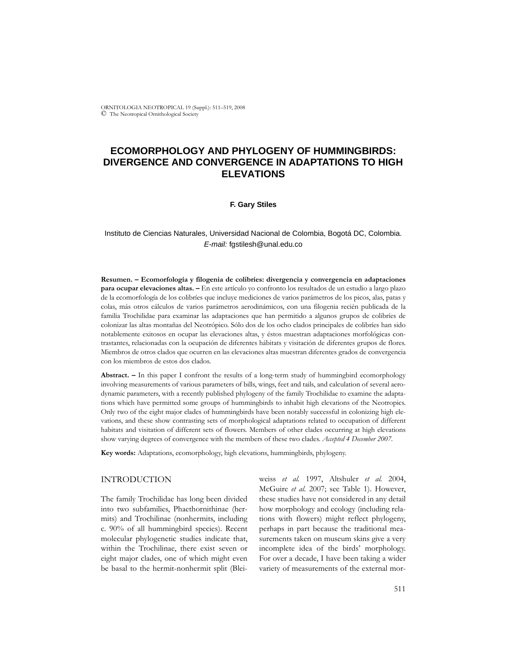ORNITOLOGIA NEOTROPICAL 19 (Suppl.): 511–519, 2008 © The Neotropical Ornithological Society

# **ECOMORPHOLOGY AND PHYLOGENY OF HUMMINGBIRDS: DIVERGENCE AND CONVERGENCE IN ADAPTATIONS TO HIGH ELEVATIONS**

## **F. Gary Stiles**

# Instituto de Ciencias Naturales, Universidad Nacional de Colombia, Bogotá DC, Colombia. *E-mail:* fgstilesh@unal.edu.co

**Resumen. – Ecomorfología y filogenia de colibríes: divergencia y convergencia en adaptaciones para ocupar elevaciones altas. –** En este artículo yo confronto los resultados de un estudio a largo plazo de la ecomorfología de los colibríes que incluye mediciones de varios parámetros de los picos, alas, patas y colas, más otros cálculos de varios parámetros aerodinámicos, con una filogenia recién publicada de la familia Trochilidae para examinar las adaptaciones que han permitido a algunos grupos de colibríes de colonizar las altas montañas del Neotrópico. Sólo dos de los ocho clados principales de colibríes han sido notablemente exitosos en ocupar las elevaciones altas, y éstos muestran adaptaciones morfológicas contrastantes, relacionadas con la ocupación de diferentes hábitats y visitación de diferentes grupos de flores. Miembros de otros clados que ocurren en las elevaciones altas muestran diferentes grados de convergencia con los miembros de estos dos clados.

**Abstract. –** In this paper I confront the results of a long-term study of hummingbird ecomorphology involving measurements of various parameters of bills, wings, feet and tails, and calculation of several aerodynamic parameters, with a recently published phylogeny of the family Trochilidae to examine the adaptations which have permitted some groups of hummingbirds to inhabit high elevations of the Neotropics. Only two of the eight major clades of hummingbirds have been notably successful in colonizing high elevations, and these show contrasting sets of morphological adaptations related to occupation of different habitats and visitation of different sets of flowers. Members of other clades occurring at high elevations show varying degrees of convergence with the members of these two clades. *Accepted 4 December 2007.*

**Key words:** Adaptations, ecomorphology, high elevations, hummingbirds, phylogeny.

# INTRODUCTION

The family Trochilidae has long been divided into two subfamilies, Phaethornithinae (hermits) and Trochilinae (nonhermits, including c. 90% of all hummingbird species). Recent molecular phylogenetic studies indicate that, within the Trochilinae, there exist seven or eight major clades, one of which might even be basal to the hermit-nonhermit split (Bleiweiss *et al.* 1997, Altshuler *et al.* 2004, McGuire *et al.* 2007; see Table 1). However, these studies have not considered in any detail how morphology and ecology (including relations with flowers) might reflect phylogeny, perhaps in part because the traditional measurements taken on museum skins give a very incomplete idea of the birds' morphology. For over a decade, I have been taking a wider variety of measurements of the external mor-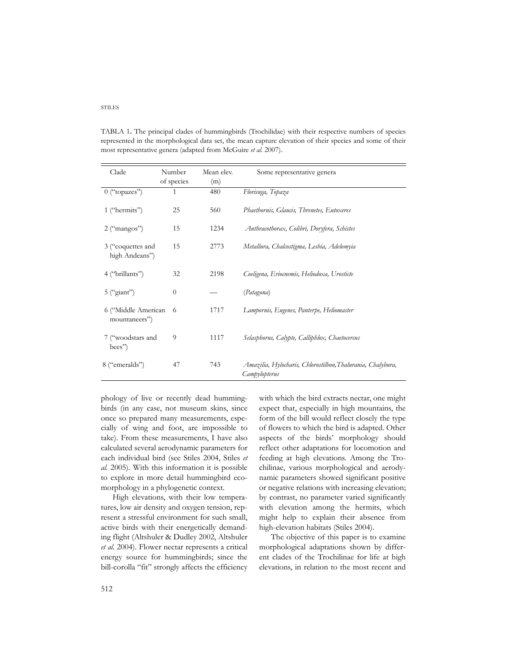| Clade                                | Number<br>of species | Mean elev.<br>(m) | Some representative genera                                                   |
|--------------------------------------|----------------------|-------------------|------------------------------------------------------------------------------|
| $0$ ("topazes")                      | 1                    | 480               | Florisuga, Topaza                                                            |
| 1 ("hermits")                        | 25                   | 560               | Phaethornis, Glaucis, Threnetes, Eutoxeres                                   |
| $2$ ("mangos")                       | 15                   | 1234              | Anthracothorax, Colibri, Doryfera, Schistes                                  |
| 3 ("coquettes and<br>high Andeans")  | 15                   | 2773              | Metallura, Chalcostigma, Lesbia, Adelomyia                                   |
| 4 ("brillants")                      | 32                   | 2198              | Coeligena, Eriocnemis, Heliodoxa, Urosticte                                  |
| $5$ ("giant")                        | $\overline{0}$       |                   | (Patagona)                                                                   |
| 6 ("Middle American<br>mountaneers") | 6                    | 1717              | Lampornis, Eugenes, Panterpe, Heliomaster                                    |
| 7 ("woodstars and<br>bees")          | 9                    | 1117              | Selasphorus, Calypte, Calliphlox, Chaetocercus                               |
| 8 ("emeralds")                       | 47                   | 743               | Amazilia, Hylocharis, Chlorostilbon, Thalurania, Chalybura,<br>Campylopterus |

TABLA 1**.** The principal clades of hummingbirds (Trochilidae) with their respective numbers of species represented in the morphological data set, the mean capture elevation of their species and some of their most representative genera (adapted from McGuire *et al.* 2007).

phology of live or recently dead hummingbirds (in any case, not museum skins, since once so prepared many measurements, especially of wing and foot, are impossible to take). From these measurements, I have also calculated several aerodynamic parameters for each individual bird (see Stiles 2004, Stiles *et al.* 2005). With this information it is possible to explore in more detail hummingbird ecomorphology in a phylogenetic context.

High elevations, with their low temperatures, low air density and oxygen tension, represent a stressful environment for such small, active birds with their energetically demanding flight (Altshuler & Dudley 2002, Altshuler *et al.* 2004). Flower nectar represents a critical energy source for hummingbirds; since the bill-corolla "fit" strongly affects the efficiency

with which the bird extracts nectar, one might expect that, especially in high mountains, the form of the bill would reflect closely the type of flowers to which the bird is adapted. Other aspects of the birds' morphology should reflect other adaptations for locomotion and feeding at high elevations. Among the Trochilinae, various morphological and aerodynamic parameters showed significant positive or negative relations with increasing elevation; by contrast, no parameter varied significantly with elevation among the hermits, which might help to explain their absence from high-elevation habitats (Stiles 2004).

The objective of this paper is to examine morphological adaptations shown by different clades of the Trochilinae for life at high elevations, in relation to the most recent and

# STILES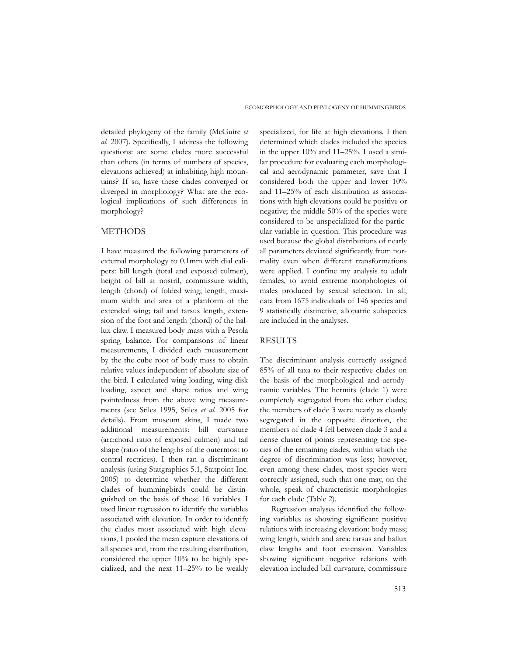detailed phylogeny of the family (McGuire *et al.* 2007). Specifically, I address the following questions: are some clades more successful than others (in terms of numbers of species, elevations achieved) at inhabiting high mountains? If so, have these clades converged or diverged in morphology? What are the ecological implications of such differences in morphology?

# METHODS

I have measured the following parameters of external morphology to 0.1mm with dial calipers: bill length (total and exposed culmen), height of bill at nostril, commissure width, length (chord) of folded wing; length, maximum width and area of a planform of the extended wing; tail and tarsus length, extension of the foot and length (chord) of the hallux claw. I measured body mass with a Pesola spring balance. For comparisons of linear measurements, I divided each measurement by the the cube root of body mass to obtain relative values independent of absolute size of the bird. I calculated wing loading, wing disk loading, aspect and shape ratios and wing pointedness from the above wing measurements (see Stiles 1995, Stiles *et al.* 2005 for details). From museum skins, I made two additional measurements: bill curvature (arc:chord ratio of exposed culmen) and tail shape (ratio of the lengths of the outermost to central rectrices). I then ran a discriminant analysis (using Statgraphics 5.1, Statpoint Inc. 2005) to determine whether the different clades of hummingbirds could be distinguished on the basis of these 16 variables. I used linear regression to identify the variables associated with elevation. In order to identify the clades most associated with high elevations, I pooled the mean capture elevations of all species and, from the resulting distribution, considered the upper 10% to be highly specialized, and the next 11–25% to be weakly

specialized, for life at high elevations. I then determined which clades included the species in the upper 10% and 11–25%. I used a similar procedure for evaluating each morphological and aerodynamic parameter, save that I considered both the upper and lower 10% and 11–25% of each distribution as associations with high elevations could be positive or negative; the middle 50% of the species were considered to be unspecialized for the particular variable in question. This procedure was used because the global distributions of nearly all parameters deviated significantly from normality even when different transformations were applied. I confine my analysis to adult females, to avoid extreme morphologies of males produced by sexual selection. In all, data from 1675 individuals of 146 species and 9 statistically distinctive, allopatric subspecies are included in the analyses.

# RESULTS

The discriminant analysis correctly assigned 85% of all taxa to their respective clades on the basis of the morphological and aerodynamic variables. The hermits (clade 1) were completely segregated from the other clades; the members of clade 3 were nearly as cleanly segregated in the opposite direction, the members of clade 4 fell between clade 3 and a dense cluster of points representing the species of the remaining clades, within which the degree of discrimination was less; however, even among these clades, most species were correctly assigned, such that one may, on the whole, speak of characteristic morphologies for each clade (Table 2).

Regression analyses identified the following variables as showing significant positive relations with increasing elevation: body mass; wing length, width and area; tarsus and hallux claw lengths and foot extension. Variables showing significant negative relations with elevation included bill curvature, commissure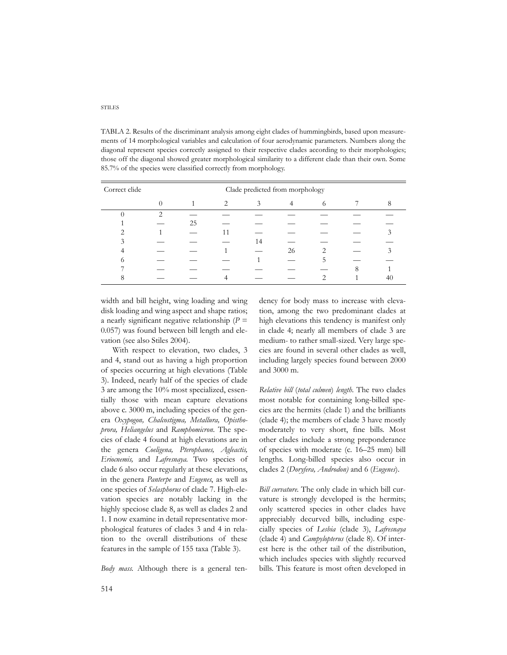#### STILES

TABLA 2. Results of the discriminant analysis among eight clades of hummingbirds, based upon measurements of 14 morphological variables and calculation of four aerodynamic parameters. Numbers along the diagonal represent species correctly assigned to their respective clades according to their morphologies; those off the diagonal showed greater morphological similarity to a different clade than their own. Some 85.7% of the species were classified correctly from morphology.

| Correct clide |   | Clade predicted from morphology |   |    |    |   |  |  |
|---------------|---|---------------------------------|---|----|----|---|--|--|
|               |   |                                 | 2 |    | 4  | 6 |  |  |
|               | ◠ |                                 |   |    |    |   |  |  |
|               |   | 25                              |   |    |    |   |  |  |
|               |   |                                 |   |    |    |   |  |  |
|               |   |                                 |   | 14 |    |   |  |  |
|               |   |                                 |   |    | 26 |   |  |  |
|               |   |                                 |   |    |    |   |  |  |
|               |   |                                 |   |    |    |   |  |  |
|               |   |                                 |   |    |    |   |  |  |

width and bill height, wing loading and wing disk loading and wing aspect and shape ratios; a nearly significant negative relationship  $(P =$ 0.057) was found between bill length and elevation (see also Stiles 2004).

With respect to elevation, two clades, 3 and 4, stand out as having a high proportion of species occurring at high elevations (Table 3). Indeed, nearly half of the species of clade 3 are among the 10% most specialized, essentially those with mean capture elevations above c. 3000 m, including species of the genera *Oxypogon, Chalcostigma, Metallura, Opisthoprora, Heliangelus* and *Ramphomicron*. The species of clade 4 found at high elevations are in the genera *Coeligena, Pterophanes, Agleactis, Eriocnemis,* and *Lafresnaya.* Two species of clade 6 also occur regularly at these elevations, in the genera *Panterpe* and *Eugenes*, as well as one species of *Selasphorus* of clade 7. High-elevation species are notably lacking in the highly speciose clade 8, as well as clades 2 and 1. I now examine in detail representative morphological features of clades 3 and 4 in relation to the overall distributions of these features in the sample of 155 taxa (Table 3).

*Body mass.* Although there is a general ten-

dency for body mass to increase with elevation, among the two predominant clades at high elevations this tendency is manifest only in clade 4; nearly all members of clade 3 are medium- to rather small-sized. Very large species are found in several other clades as well, including largely species found between 2000 and 3000 m.

*Relative bill* (*total culmen*) *length.* The two clades most notable for containing long-billed species are the hermits (clade 1) and the brilliants (clade 4); the members of clade 3 have mostly moderately to very short, fine bills. Most other clades include a strong preponderance of species with moderate (c. 16–25 mm) bill lengths. Long-billed species also occur in clades 2 (*Doryfera, Androdon)* and 6 (*Eugenes*).

*Bill curvature.* The only clade in which bill curvature is strongly developed is the hermits; only scattered species in other clades have appreciably decurved bills, including especially species of *Lesbia* (clade 3), *Lafresnaya* (clade 4) and *Campylopterus* (clade 8). Of interest here is the other tail of the distribution, which includes species with slightly recurved bills. This feature is most often developed in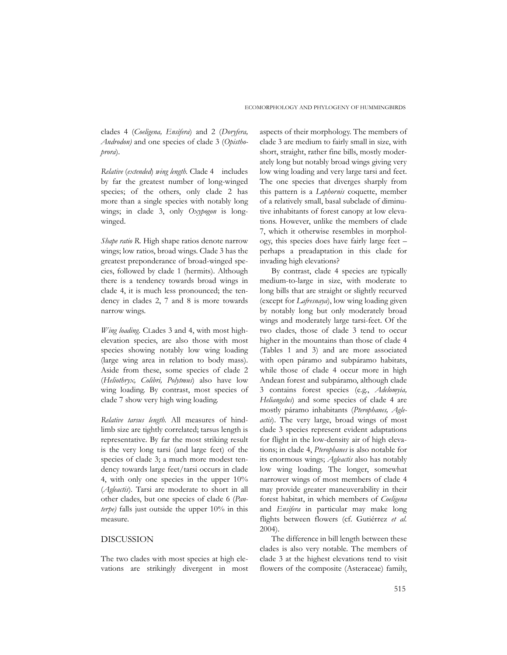clades 4 (*Coeligena, Ensifera*) and 2 (*Doryfera, Androdon)* and one species of clade 3 (*Opisthoprora*).

*Relative* (*extended*) *wing length.* Clade 4 includes by far the greatest number of long-winged species; of the others, only clade 2 has more than a single species with notably long wings; in clade 3, only *Oxypogon* is longwinged.

*Shape ratio R.* High shape ratios denote narrow wings; low ratios, broad wings. Clade 3 has the greatest preponderance of broad-winged species, followed by clade 1 (hermits). Although there is a tendency towards broad wings in clade 4, it is much less pronounced; the tendency in clades 2, 7 and 8 is more towards narrow wings.

*Wing loading.* CLades 3 and 4, with most highelevation species, are also those with most species showing notably low wing loading (large wing area in relation to body mass). Aside from these, some species of clade 2 (*Heliothryx, Colibri, Polytmus*) also have low wing loading. By contrast, most species of clade 7 show very high wing loading.

*Relative tarsus length.* All measures of hindlimb size are tightly correlated; tarsus length is representative. By far the most striking result is the very long tarsi (and large feet) of the species of clade 3; a much more modest tendency towards large feet/tarsi occurs in clade 4, with only one species in the upper 10% (*Agleactis*). Tarsi are moderate to short in all other clades, but one species of clade 6 (*Panterpe)* falls just outside the upper 10% in this measure.

# DISCUSSION

The two clades with most species at high elevations are strikingly divergent in most

aspects of their morphology. The members of clade 3 are medium to fairly small in size, with short, straight, rather fine bills, mostly moderately long but notably broad wings giving very low wing loading and very large tarsi and feet. The one species that diverges sharply from this pattern is a *Lophornis* coquette, member of a relatively small, basal subclade of diminutive inhabitants of forest canopy at low elevations. However, unlike the members of clade 7, which it otherwise resembles in morphology, this species does have fairly large feet – perhaps a preadaptation in this clade for invading high elevations?

By contrast, clade 4 species are typically medium-to-large in size, with moderate to long bills that are straight or slightly recurved (except for *Lafresnaya*), low wing loading given by notably long but only moderately broad wings and moderately large tarsi-feet. Of the two clades, those of clade 3 tend to occur higher in the mountains than those of clade 4 (Tables 1 and 3) and are more associated with open páramo and subpáramo habitats, while those of clade 4 occur more in high Andean forest and subpáramo, although clade 3 contains forest species (e.g., *Adelomyia, Heliangelus*) and some species of clade 4 are mostly páramo inhabitants (*Pterophanes, Agleactis*). The very large, broad wings of most clade 3 species represent evident adaptations for flight in the low-density air of high elevations; in clade 4, *Pterophanes* is also notable for its enormous wings; *Agleactis* also has notably low wing loading. The longer, somewhat narrower wings of most members of clade 4 may provide greater maneuverability in their forest habitat, in which members of *Coeligena* and *Ensifera* in particular may make long flights between flowers (cf. Gutiérrez *et al.* 2004).

The difference in bill length between these clades is also very notable. The members of clade 3 at the highest elevations tend to visit flowers of the composite (Asteraceae) family,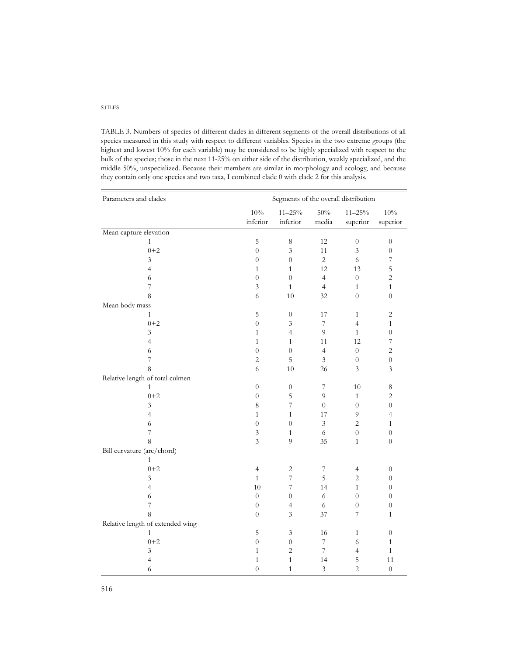#### STILES

TABLE 3. Numbers of species of different clades in different segments of the overall distributions of all species measured in this study with respect to different variables. Species in the two extreme groups (the highest and lowest 10% for each variable) may be considered to be highly specialized with respect to the bulk of the species; those in the next 11-25% on either side of the distribution, weakly specialized, and the middle 50%, unspecialized. Because their members are similar in morphology and ecology, and because they contain only one species and two taxa, I combined clade 0 with clade 2 for this analysis.

| Parameters and clades            | Segments of the overall distribution |                             |                          |                         |                             |  |
|----------------------------------|--------------------------------------|-----------------------------|--------------------------|-------------------------|-----------------------------|--|
|                                  | 10%<br>inferior                      | $11 - 25\%$<br>inferior     | 50%<br>media             | $11 - 25\%$<br>superior | $10\%$<br>superior          |  |
| Mean capture elevation           |                                      |                             |                          |                         |                             |  |
| $\mathbf{1}$                     | 5                                    | 8                           | 12                       | $\boldsymbol{0}$        | $\boldsymbol{0}$            |  |
| $0 + 2$                          | $\boldsymbol{0}$                     | $\mathfrak{Z}$              | 11                       | $\mathfrak z$           | $\boldsymbol{0}$            |  |
| 3                                | $\boldsymbol{0}$                     | $\overline{0}$              | $\overline{c}$           | 6                       | $\overline{\mathcal{I}}$    |  |
| $\overline{4}$                   | $\mathbf{1}$                         | $\mathbf{1}$                | 12                       | 13                      | $\overline{5}$              |  |
| $\sqrt{6}$                       | $\boldsymbol{0}$                     | $\overline{0}$              | $\overline{4}$           | $\boldsymbol{0}$        | $\overline{c}$              |  |
| 7                                | $\mathfrak{Z}$                       | $\mathbf{1}$                | $\overline{4}$           | $\,1\,$                 | $\,1\,$                     |  |
| 8                                | 6                                    | 10                          | 32                       | $\overline{0}$          | $\boldsymbol{0}$            |  |
| Mean body mass                   |                                      |                             |                          |                         |                             |  |
| $\mathbf{1}$                     | $\mathbf 5$                          | $\boldsymbol{0}$            | 17                       | $\,1\,$                 | $\sqrt{2}$                  |  |
| $0 + 2$                          | $\boldsymbol{0}$                     | $\overline{3}$              | $\boldsymbol{7}$         | $\overline{4}$          | $\mathbf{1}$                |  |
| $\mathfrak{Z}$                   | $\mathbf{1}$                         | $\overline{4}$              | 9                        | $\mathbf{1}$            | $\boldsymbol{0}$            |  |
| $\overline{4}$                   | $\mathbf{1}$                         | $\mathbf{1}$                | 11                       | 12                      | $\overline{\mathcal{I}}$    |  |
| $\sqrt{6}$                       | $\boldsymbol{0}$                     | $\boldsymbol{0}$            | $\overline{4}$           | $\boldsymbol{0}$        | $\sqrt{2}$                  |  |
| $\overline{7}$                   | $\overline{2}$                       | 5                           | 3                        | $\overline{0}$          | $\boldsymbol{0}$            |  |
| 8                                | 6                                    | 10                          | 26                       | $\mathfrak z$           | $\ensuremath{\mathfrak{Z}}$ |  |
| Relative length of total culmen  |                                      |                             |                          |                         |                             |  |
| 1                                | $\boldsymbol{0}$                     | $\boldsymbol{0}$            | $\overline{\mathcal{I}}$ | 10                      | $\,8\,$                     |  |
| $0 + 2$                          | $\boldsymbol{0}$                     | 5                           | $\overline{9}$           | $\mathbf{1}$            | $\sqrt{2}$                  |  |
| $\mathfrak{Z}$                   | $\,8\,$                              | $\boldsymbol{7}$            | $\boldsymbol{0}$         | $\boldsymbol{0}$        | $\boldsymbol{0}$            |  |
| 4                                | $\mathbf{1}$                         | $\mathbf{1}$                | 17                       | 9                       | 4                           |  |
| 6                                | $\boldsymbol{0}$                     | $\boldsymbol{0}$            | $\mathfrak{Z}$           | $\sqrt{2}$              | $\mathbf{1}$                |  |
| 7                                | $\mathfrak{Z}$                       | $\mathbf{1}$                | $\sqrt{6}$               | $\boldsymbol{0}$        | $\boldsymbol{0}$            |  |
| 8                                | $\mathfrak{Z}$                       | 9                           | 35                       | $\mathbf{1}$            | $\boldsymbol{0}$            |  |
| Bill curvature (arc/chord)       |                                      |                             |                          |                         |                             |  |
| 1                                |                                      |                             |                          |                         |                             |  |
| $0 + 2$                          | $\overline{4}$                       | $\overline{2}$              | $\boldsymbol{7}$         | $\overline{4}$          | $\theta$                    |  |
| $\mathfrak{Z}$                   | $\mathbf{1}$                         | $\overline{7}$              | 5                        | $\sqrt{2}$              | $\boldsymbol{0}$            |  |
| $\overline{4}$                   | 10                                   | $\overline{7}$              | 14                       | $\mathbf{1}$            | $\boldsymbol{0}$            |  |
| $\sqrt{6}$                       | $\overline{0}$                       | $\boldsymbol{0}$            | 6                        | $\boldsymbol{0}$        | $\boldsymbol{0}$            |  |
| 7                                | $\boldsymbol{0}$                     | $\overline{4}$              | 6                        | $\boldsymbol{0}$        | $\boldsymbol{0}$            |  |
| 8                                | $\boldsymbol{0}$                     | $\mathfrak{Z}$              | 37                       | 7                       | $\mathbf{1}$                |  |
| Relative length of extended wing |                                      |                             |                          |                         |                             |  |
| 1                                | $\mathbf 5$                          | $\ensuremath{\mathfrak{Z}}$ | 16                       | $\mathbf{1}$            | $\boldsymbol{0}$            |  |
| $0 + 2$                          | $\boldsymbol{0}$                     | $\boldsymbol{0}$            | 7                        | 6                       | $\,1\,$                     |  |
| $\ensuremath{\mathfrak{Z}}$      | $\,1\,$                              | $\overline{c}$              | $\boldsymbol{7}$         | $\overline{4}$          | $\,1\,$                     |  |
| $\overline{4}$                   | $\mathbf{1}$                         | $\mathbf{1}$                | 14                       | 5                       | 11                          |  |
| 6                                | $\overline{0}$                       | $\mathbf{1}$                | 3                        | $\overline{2}$          | $\theta$                    |  |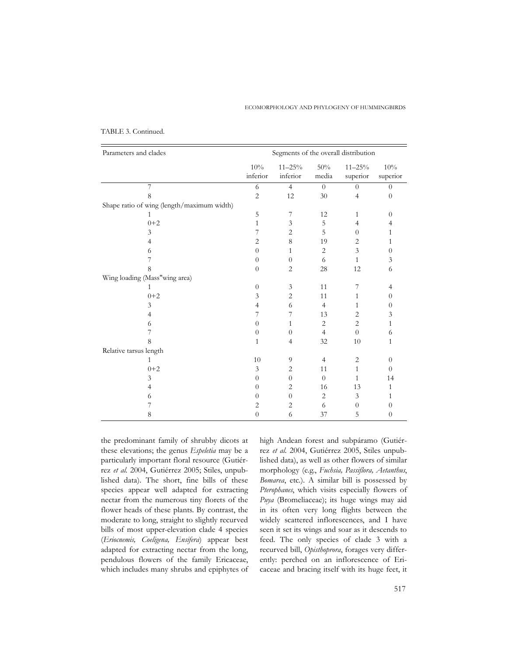#### ECOMORPHOLOGY AND PHYLOGENY OF HUMMINGBIRDS

| Parameters and clades                      | Segments of the overall distribution |                        |                |                        |                 |  |
|--------------------------------------------|--------------------------------------|------------------------|----------------|------------------------|-----------------|--|
|                                            | 10%<br>inferior                      | $11 - 25%$<br>inferior | 50%<br>media   | $11 - 25%$<br>superior | 10%<br>superior |  |
| 7                                          | 6                                    | $\overline{4}$         | $\Omega$       | $\theta$               | $\Omega$        |  |
| 8                                          | $\overline{2}$                       | 12                     | 30             | $\overline{4}$         | $\theta$        |  |
| Shape ratio of wing (length/maximum width) |                                      |                        |                |                        |                 |  |
| 1                                          | 5                                    | 7                      | 12             | $\mathbf{1}$           | $\Omega$        |  |
| $0 + 2$                                    | 1                                    | 3                      | 5              | $\overline{4}$         | 4               |  |
| 3                                          | 7                                    | 2                      | 5              | $\theta$               | 1               |  |
| 4                                          | $\overline{2}$                       | 8                      | 19             | $\overline{2}$         | $\mathbf{1}$    |  |
| 6                                          | $\theta$                             | 1                      | 2              | 3                      | $\overline{0}$  |  |
| 7                                          | $\theta$                             | $\boldsymbol{0}$       | 6              | $\mathbf{1}$           | 3               |  |
| 8                                          | $\theta$                             | $\overline{c}$         | 28             | 12                     | 6               |  |
| Wing loading (Mass"wing area)              |                                      |                        |                |                        |                 |  |
| 1                                          | $\overline{0}$                       | 3                      | 11             | 7                      | 4               |  |
| $0 + 2$                                    | 3                                    | 2                      | 11             | $\mathbf{1}$           | $\overline{0}$  |  |
| 3                                          | $\overline{4}$                       | 6                      | $\overline{4}$ | $\mathbf{1}$           | $\overline{0}$  |  |
| 4                                          | 7                                    | 7                      | 13             | $\overline{2}$         | 3               |  |
| 6                                          | $\overline{0}$                       | 1                      | $\overline{2}$ | $\overline{2}$         | 1               |  |
| 7                                          | $\theta$                             | $\boldsymbol{0}$       | $\overline{4}$ | $\overline{0}$         | 6               |  |
| 8                                          | 1                                    | $\overline{4}$         | 32             | 10                     | 1               |  |
| Relative tarsus length                     |                                      |                        |                |                        |                 |  |
| $\mathbf{1}$                               | 10                                   | 9                      | $\overline{4}$ | $\overline{2}$         | $\overline{0}$  |  |
| $0 + 2$                                    | 3                                    | 2                      | 11             | $\mathbf{1}$           | $\theta$        |  |
| 3                                          | $\theta$                             | $\Omega$               | $\Omega$       | 1                      | 14              |  |
| 4                                          | $\theta$                             | $\overline{2}$         | 16             | 13                     | 1               |  |
| 6                                          | $\theta$                             | $\overline{0}$         | $\overline{2}$ | 3                      | 1               |  |
| 7                                          | $\overline{2}$                       | $\overline{2}$         | 6              | $\theta$               | $\theta$        |  |
| 8                                          | $\overline{0}$                       | 6                      | 37             | 5                      | $\theta$        |  |

# TABLE 3. Continued.

the predominant family of shrubby dicots at these elevations; the genus *Espeletia* may be a particularly important floral resource (Gutiérrez *et al.* 2004, Gutiérrez 2005; Stiles, unpublished data). The short, fine bills of these species appear well adapted for extracting nectar from the numerous tiny florets of the flower heads of these plants. By contrast, the moderate to long, straight to slightly recurved bills of most upper-elevation clade 4 species (*Eriocnemis, Coeligena, Ensifera*) appear best adapted for extracting nectar from the long, pendulous flowers of the family Ericaceae, which includes many shrubs and epiphytes of high Andean forest and subpáramo (Gutiérrez *et al.* 2004, Gutiérrez 2005, Stiles unpublished data), as well as other flowers of similar morphology (e.g., *Fuchsia, Passiflora, Aetanthus*, *Bomarea*, etc.). A similar bill is possessed by *Pterophanes*, which visits especially flowers of *Puya* (Bromeliaceae); its huge wings may aid in its often very long flights between the widely scattered inflorescences, and I have seen it set its wings and soar as it descends to feed. The only species of clade 3 with a recurved bill, *Opisthoprora*, forages very differently: perched on an inflorescence of Ericaceae and bracing itself with its huge feet, it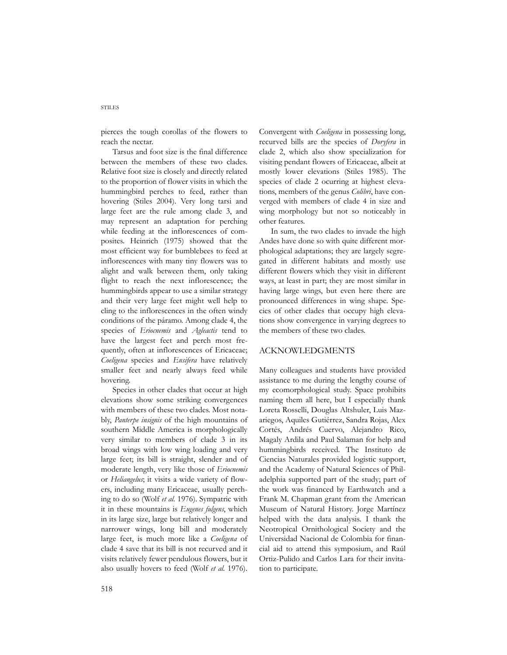pierces the tough corollas of the flowers to reach the nectar.

Tarsus and foot size is the final difference between the members of these two clades. Relative foot size is closely and directly related to the proportion of flower visits in which the hummingbird perches to feed, rather than hovering (Stiles 2004). Very long tarsi and large feet are the rule among clade 3, and may represent an adaptation for perching while feeding at the inflorescences of composites. Heinrich (1975) showed that the most efficient way for bumblebees to feed at inflorescences with many tiny flowers was to alight and walk between them, only taking flight to reach the next inflorescence; the hummingbirds appear to use a similar strategy and their very large feet might well help to cling to the inflorescences in the often windy conditions of the páramo. Among clade 4, the species of *Eriocnemis* and *Agleactis* tend to have the largest feet and perch most frequently, often at inflorescences of Ericaceae; *Coeligena* species and *Ensifera* have relatively smaller feet and nearly always feed while hovering.

Species in other clades that occur at high elevations show some striking convergences with members of these two clades. Most notably, *Panterpe insignis* of the high mountains of southern Middle America is morphologically very similar to members of clade 3 in its broad wings with low wing loading and very large feet; its bill is straight, slender and of moderate length, very like those of *Eriocnemis* or *Heliangelus*; it visits a wide variety of flowers, including many Ericaceae, usually perching to do so (Wolf *et al.* 1976). Sympatric with it in these mountains is *Eugenes fulgens*, which in its large size, large but relatively longer and narrower wings, long bill and moderately large feet, is much more like a *Coeligena* of clade 4 save that its bill is not recurved and it visits relatively fewer pendulous flowers, but it also usually hovers to feed (Wolf *et al.* 1976).

Convergent with *Coeligena* in possessing long, recurved bills are the species of *Doryfera* in clade 2, which also show specialization for visiting pendant flowers of Ericaceae, albeit at mostly lower elevations (Stiles 1985). The species of clade 2 ocurring at highest elevations, members of the genus *Colibri*, have converged with members of clade 4 in size and wing morphology but not so noticeably in other features.

In sum, the two clades to invade the high Andes have done so with quite different morphological adaptations; they are largely segregated in different habitats and mostly use different flowers which they visit in different ways, at least in part; they are most similar in having large wings, but even here there are pronounced differences in wing shape. Species of other clades that occupy high elevations show convergence in varying degrees to the members of these two clades.

# ACKNOWLEDGMENTS

Many colleagues and students have provided assistance to me during the lengthy course of my ecomorphological study. Space prohibits naming them all here, but I especially thank Loreta Rosselli, Douglas Altshuler, Luis Mazariegos, Aquiles Gutiérrez, Sandra Rojas, Alex Cortés, Andrés Cuervo, Alejandro Rico, Magaly Ardila and Paul Salaman for help and hummingbirds received. The Instituto de Ciencias Naturales provided logistic support, and the Academy of Natural Sciences of Philadelphia supported part of the study; part of the work was financed by Earthwatch and a Frank M. Chapman grant from the American Museum of Natural History. Jorge Martínez helped with the data analysis. I thank the Neotropical Ornithological Society and the Universidad Nacional de Colombia for financial aid to attend this symposium, and Raúl Ortiz-Pulido and Carlos Lara for their invitation to participate.

#### STILES